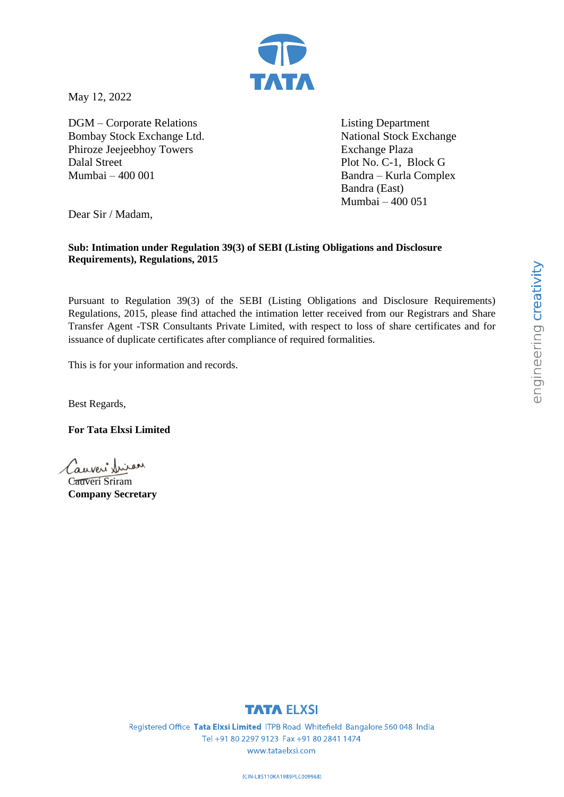

May 12, 2022

DGM – Corporate Relations Bombay Stock Exchange Ltd. Phiroze Jeejeebhoy Towers Dalal Street Mumbai – 400 001

Listing Department National Stock Exchange Exchange Plaza Plot No. C-1, Block G Bandra – Kurla Complex Bandra (East) Mumbai – 400 051

Dear Sir / Madam,

### **Sub: Intimation under Regulation 39(3) of SEBI (Listing Obligations and Disclosure Requirements), Regulations, 2015**

Pursuant to Regulation 39(3) of the SEBI (Listing Obligations and Disclosure Requirements) Regulations, 2015, please find attached the intimation letter received from our Registrars and Share Transfer Agent -TSR Consultants Private Limited, with respect to loss of share certificates and for issuance of duplicate certificates after compliance of required formalities.

This is for your information and records.

Best Regards,

**For Tata Elxsi Limited**

Cauveri frien

Cauveri Sriram **Company Secretary**

### **TATA ELXSI**

Registered Office Tata Elxsi Limited ITPB Road Whitefield Bangalore 560 048 India Tel +91 80 2297 9123 Fax +91 80 2841 1474 www.tataelxsi.com

(CIN-L85110KA1989PLC009968)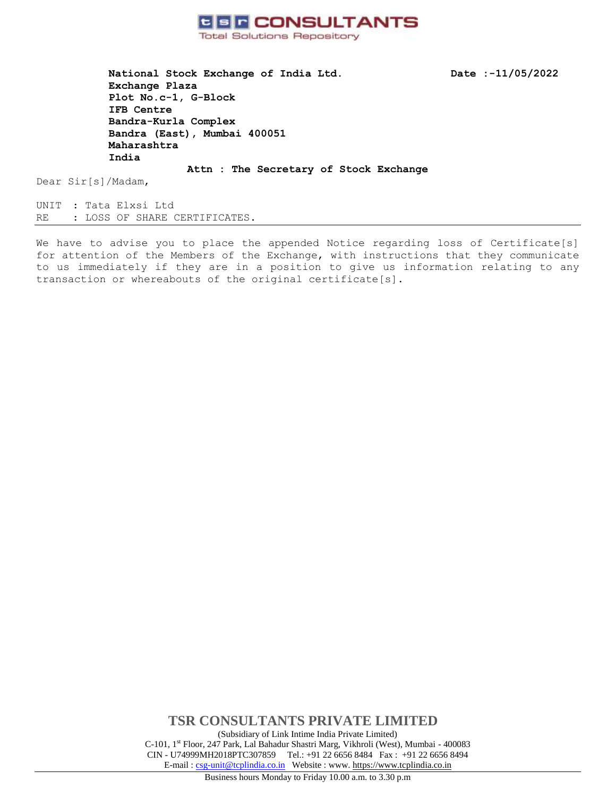

**National Stock Exchange of India Ltd. Date :-11/05/2022 Exchange Plaza Plot No.c-1, G-Block IFB Centre Bandra-Kurla Complex Bandra (East), Mumbai 400051 Maharashtra India**

Dear Sir[s]/Madam,

UNIT : Tata Elxsi Ltd RE : LOSS OF SHARE CERTIFICATES.

We have to advise you to place the appended Notice regarding loss of Certificate[s] for attention of the Members of the Exchange, with instructions that they communicate to us immediately if they are in a position to give us information relating to any transaction or whereabouts of the original certificate[s].

**Attn : The Secretary of Stock Exchange**

**TSR CONSULTANTS PRIVATE LIMITED** (Subsidiary of Link Intime India Private Limited) C-101, 1st Floor, 247 Park, Lal Bahadur Shastri Marg, Vikhroli (West), Mumbai - 400083 CIN - U74999MH2018PTC307859Tel.: +91 22 6656 8484 Fax : +91 22 6656 8494 E-mail [: csg-unit@tcplindia.co.in](mailto:csg-unit@tcplindia.co.in) Website : www. [https://www.tcplindia.co.in](http://www.tsrdarashaw.com/)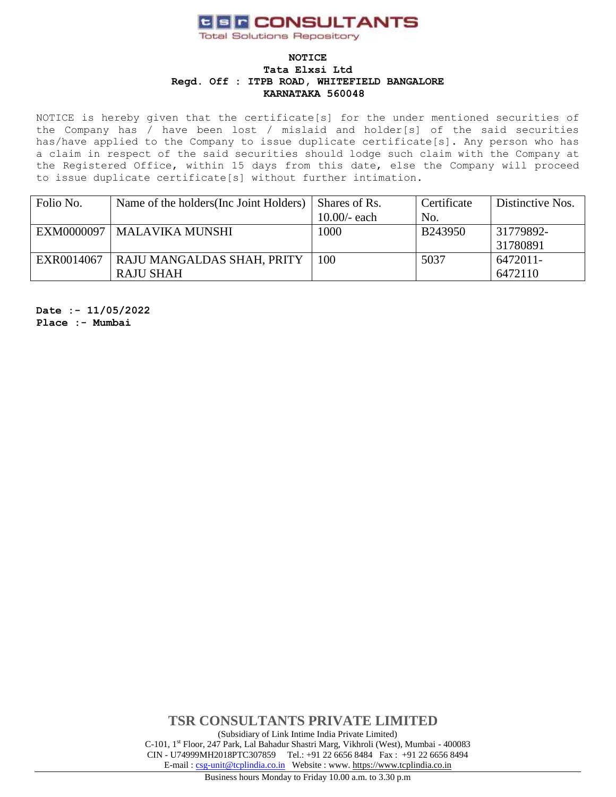# **CER CONSULTANTS**

**Total Solutions Repository** 

#### **NOTICE Tata Elxsi Ltd Regd. Off : ITPB ROAD, WHITEFIELD BANGALORE KARNATAKA 560048**

NOTICE is hereby given that the certificate[s] for the under mentioned securities of the Company has / have been lost / mislaid and holder[s] of the said securities has/have applied to the Company to issue duplicate certificate[s]. Any person who has a claim in respect of the said securities should lodge such claim with the Company at the Registered Office, within 15 days from this date, else the Company will proceed to issue duplicate certificate[s] without further intimation.

| Folio No.  | Name of the holders (Inc. Joint Holders) | Shares of Rs.  | Certificate | Distinctive Nos. |
|------------|------------------------------------------|----------------|-------------|------------------|
|            |                                          | $10.00/-$ each | No.         |                  |
| EXM0000097 | <b>MALAVIKA MUNSHI</b>                   | 1000           | B243950     | 31779892-        |
|            |                                          |                |             | 31780891         |
| EXR0014067 | RAJU MANGALDAS SHAH, PRITY               | 100            | 5037        | 6472011-         |
|            | RAJU SHAH                                |                |             | 6472110          |

**Date :- 11/05/2022 Place :- Mumbai**

> **TSR CONSULTANTS PRIVATE LIMITED** (Subsidiary of Link Intime India Private Limited) C-101, 1st Floor, 247 Park, Lal Bahadur Shastri Marg, Vikhroli (West), Mumbai - 400083 CIN - U74999MH2018PTC307859Tel.: +91 22 6656 8484 Fax : +91 22 6656 8494 E-mail [: csg-unit@tcplindia.co.in](mailto:csg-unit@tcplindia.co.in) Website : www. [https://www.tcplindia.co.in](http://www.tsrdarashaw.com/)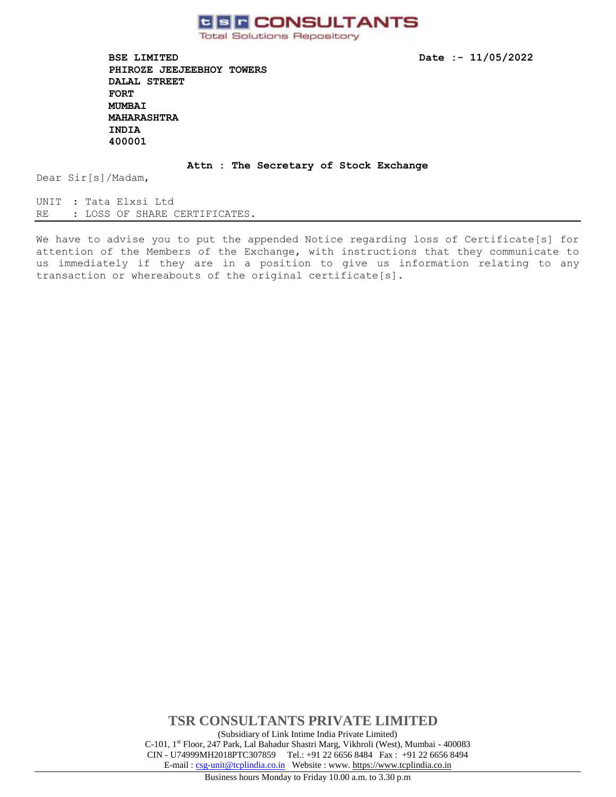

**Total Solutions Repository** 

**BSE LIMITED Date :- 11/05/2022 PHIROZE JEEJEEBHOY TOWERS DALAL STREET FORT MUMBAI MAHARASHTRA INDIA 400001** 

**Attn : The Secretary of Stock Exchange**

Dear Sir[s]/Madam,

UNIT : Tata Elxsi Ltd RE : LOSS OF SHARE CERTIFICATES.

We have to advise you to put the appended Notice regarding loss of Certificate[s] for attention of the Members of the Exchange, with instructions that they communicate to us immediately if they are in a position to give us information relating to any transaction or whereabouts of the original certificate[s].

> **TSR CONSULTANTS PRIVATE LIMITED** (Subsidiary of Link Intime India Private Limited) C-101, 1st Floor, 247 Park, Lal Bahadur Shastri Marg, Vikhroli (West), Mumbai - 400083 CIN - U74999MH2018PTC307859Tel.: +91 22 6656 8484 Fax : +91 22 6656 8494 E-mail [: csg-unit@tcplindia.co.in](mailto:csg-unit@tcplindia.co.in) Website : www. [https://www.tcplindia.co.in](http://www.tsrdarashaw.com/)